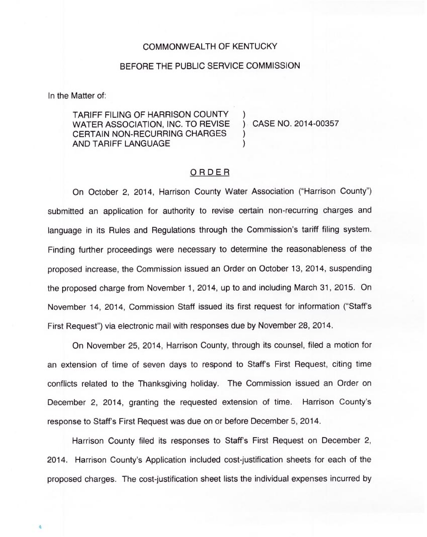## COMMONWEALTH OF KENTUCKY

## BEFORE THE PUBLIC SERVICE COMMISSION

In the Matter of:

TARIFF FILING OF HARRISON COUNTY WATER ASSOCIATION, INC. TO REVISE ) CASE NO. 2014-00357 CERTAIN NON-RECURRING CHARGES AND TARIFF LANGUAGE )

#### ORDER

On October 2, 2014, Harrison County Water Association ("Harrison County") submitted an application for authority to revise certain non-recurring charges and language in its Rules and Regulations through the Commission's tariff filing system. Finding further proceedings were necessary to determine the reasonableness of the proposed increase, the Commission issued an Order on October 13, 2014, suspending the proposed charge from November 1, 2014, up to and including March 31, 2015. On November 14, 2014, Commission Staff issued its first request for information ("Staff's First Request") via electronic mail with responses due by November 28, 2014.

On November 25, 2014, Harrison County, through its counsel, filed a motion for an extension of time of seven days to respond to Staff's First Request, citing time conflicts related to the Thanksgiving holiday. The Commission issued an Order on December 2, 2014, granting the requested extension of time. Harrison County's response to Staff's First Request was due on or before December 5, 2014.

Harrison County filed its responses to Staff's First Request on December 2, 2014. Harrison County's Application included cost-justification sheets for each of the proposed charges. The cost-justification sheet lists the individual expenses incurred by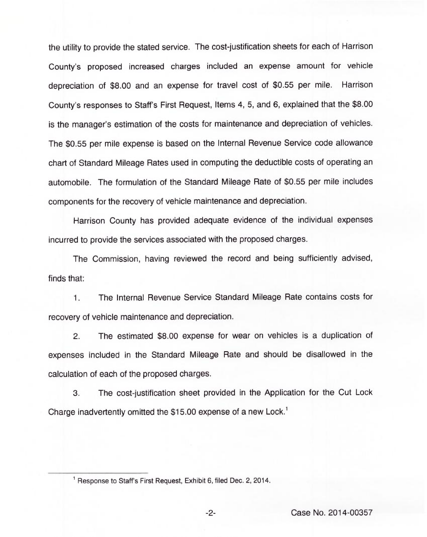the utility to provide the stated service. The cost-justification sheets for each of Harrison County's proposed increased charges included an expense amount for vehicle depreciation of \$8.00 and an expense for travel cost of \$0.55 per mile. Harrison County's responses to Staff's First Request, Items 4, 5, and 6, explained that the \$8.00 is the manager's estimation of the costs for maintenance and depreciation of vehicles. The \$0.55 per mile expense is based on the Internal Revenue Service code allowance chart of Standard Mileage Rates used in computing the deductible costs of operating an automobile. The formulation of the Standard Mileage Rate of \$0.55 per mile includes components for the recovery of vehicle maintenance and depreciation.

Harrison County has provided adequate evidence of the individual expenses incurred to provide the services associated with the proposed charges.

The Commission, having reviewed the record and being sufficiently advised, finds that:

1. The Internal Revenue Service Standard Mileage Rate contains costs for recovery of vehicle maintenance and depreciation.

2. The estimated \$8.00 expense for wear on vehicles is a duplication of expenses included in the Standard Mileage Rate and should be disallowed in the calculation of each of the proposed charges.

3. The cost-justification sheet provided in the Application for the Cut Lock Charge inadvertently omitted the \$15.00 expense of a new Lock.

<sup>&</sup>lt;sup>1</sup> Response to Staff's First Request, Exhibit 6, filed Dec. 2, 2014.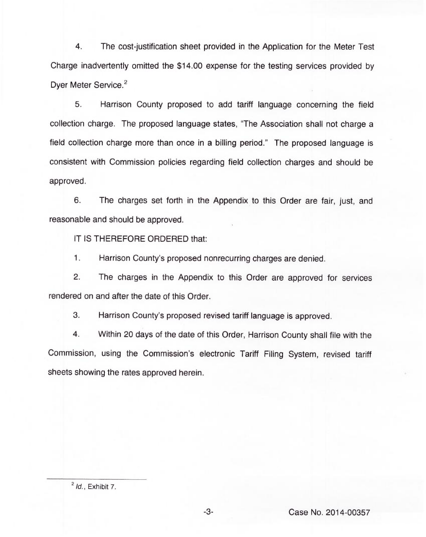4. The cost-justification sheet provided in the Application for the Meter Test Charge inadvertently omitted the \$14.00 expense for the testing services provided by Dyer Meter Service.<sup>2</sup>

5. Harrison County proposed to add tariff language concerning the field collection charge. The proposed language states, "The Association shall not charge a field collection charge more than once in a billing period." The proposed language is consistent with Commission policies regarding field collection charges and should be approved.

6. The charges set forth in the Appendix to this Order are fair, just, and reasonable and should be approved.

IT IS THEREFORE ORDERED that:

 $1.$ Harrison County's proposed nonrecurring charges are denied.

2. The charges in the Appendix to this Order are approved for services rendered on and after the date of this Order.

3. Harrison County's proposed revised tariff language is approved.

4. Within 20 days of the date of this Order, Harrison County shall file with the Commission, using the Commission's electronic Tariff Filing System, revised tariff sheets showing the rates approved herein.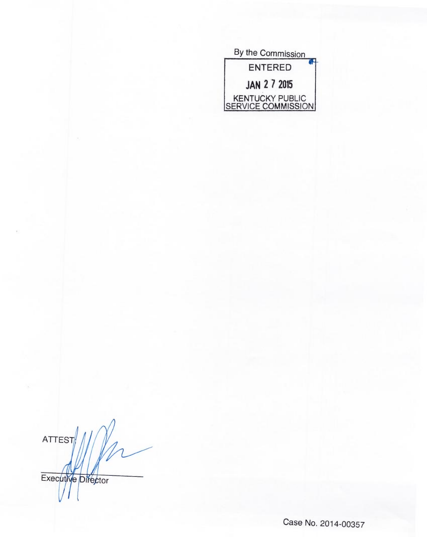| By the Commission                     |
|---------------------------------------|
| <b>ENTERED</b>                        |
| <b>JAN 2 7 2015</b>                   |
| KENTUCKY PUBLIC<br>SERVICE COMMISSION |

Pn ATTEST Executive Director

Case No. 2014-00357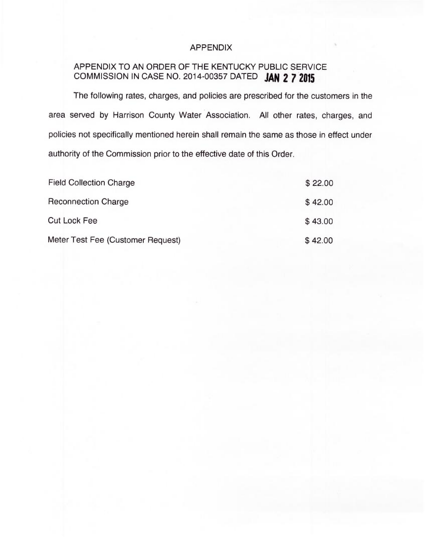# APPENDIX

# APPENDIX TO AN ORDER OF THE KENTUCKY PUBLIC SERVICE COMMISSION IN CASE NO. 2014-00357 DATED JAN 2 7 2015

The following rates, charges, and policies are prescribed for the customers in the area served by Harrison County Water Association. All other rates, charges, and policies not specifically mentioned herein shall remain the same as those in effect under authority of the Commission prior to the effective date of this Order.

| <b>Field Collection Charge</b>    | \$22.00 |
|-----------------------------------|---------|
| <b>Reconnection Charge</b>        | \$42.00 |
| <b>Cut Lock Fee</b>               | \$43.00 |
| Meter Test Fee (Customer Request) | \$42.00 |